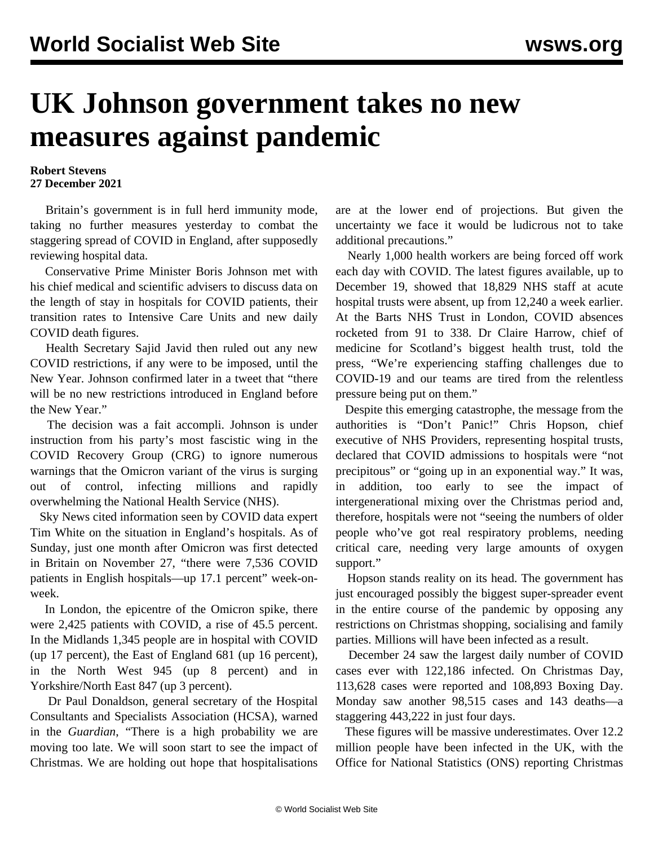## **UK Johnson government takes no new measures against pandemic**

## **Robert Stevens 27 December 2021**

 Britain's government is in full herd immunity mode, taking no further measures yesterday to combat the staggering spread of COVID in England, after supposedly reviewing hospital data.

 Conservative Prime Minister Boris Johnson met with his chief medical and scientific advisers to discuss data on the length of stay in hospitals for COVID patients, their transition rates to Intensive Care Units and new daily COVID death figures.

 Health Secretary Sajid Javid then ruled out any new COVID restrictions, if any were to be imposed, until the New Year. Johnson confirmed later in a tweet that "there will be no new restrictions introduced in England before the New Year."

 The decision was a fait accompli. Johnson is under instruction from his party's most fascistic wing in the COVID Recovery Group (CRG) to ignore numerous warnings that the Omicron variant of the virus is surging out of control, infecting millions and rapidly overwhelming the National Health Service (NHS).

 Sky News cited information seen by COVID data expert Tim White on the situation in England's hospitals. As of Sunday, just one month after Omicron was first detected in Britain on November 27, "there were 7,536 COVID patients in English hospitals—up 17.1 percent" week-onweek.

 In London, the epicentre of the Omicron spike, there were 2,425 patients with COVID, a rise of 45.5 percent. In the Midlands 1,345 people are in hospital with COVID (up 17 percent), the East of England 681 (up 16 percent), in the North West 945 (up 8 percent) and in Yorkshire/North East 847 (up 3 percent).

 Dr Paul Donaldson, general secretary of the Hospital Consultants and Specialists Association (HCSA), warned in the *Guardian*, "There is a high probability we are moving too late. We will soon start to see the impact of Christmas. We are holding out hope that hospitalisations

are at the lower end of projections. But given the uncertainty we face it would be ludicrous not to take additional precautions."

 Nearly 1,000 health workers are being forced off work each day with COVID. The latest figures available, up to December 19, showed that 18,829 NHS staff at acute hospital trusts were absent, up from 12,240 a week earlier. At the Barts NHS Trust in London, COVID absences rocketed from 91 to 338. Dr Claire Harrow, chief of medicine for Scotland's biggest health trust, told the press, "We're experiencing staffing challenges due to COVID-19 and our teams are tired from the relentless pressure being put on them."

 Despite this emerging catastrophe, the message from the authorities is "Don't Panic!" Chris Hopson, chief executive of NHS Providers, representing hospital trusts, declared that COVID admissions to hospitals were "not precipitous" or "going up in an exponential way." It was, in addition, too early to see the impact of intergenerational mixing over the Christmas period and, therefore, hospitals were not "seeing the numbers of older people who've got real respiratory problems, needing critical care, needing very large amounts of oxygen support."

 Hopson stands reality on its head. The government has just encouraged possibly the biggest super-spreader event in the entire course of the pandemic by opposing any restrictions on Christmas shopping, socialising and family parties. Millions will have been infected as a result.

 December 24 saw the largest daily number of COVID cases ever with 122,186 infected. On Christmas Day, 113,628 cases were reported and 108,893 Boxing Day. Monday saw another 98,515 cases and 143 deaths—a staggering 443,222 in just four days.

 These figures will be massive underestimates. Over 12.2 million people have been infected in the UK, with the Office for National Statistics (ONS) reporting Christmas